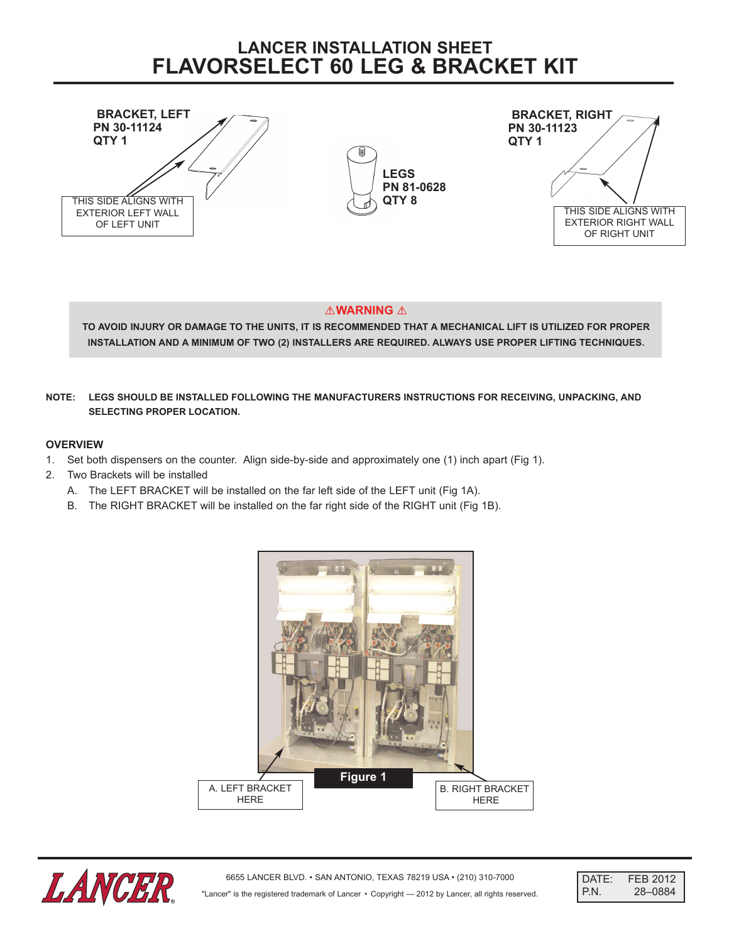# **LANCER INSTALLATION SHEET FLAVORSELECT 60 LEG & BRACKET KIT**



# *AWARNING*

TO AVOID INJURY OR DAMAGE TO THE UNITS, IT IS RECOMMENDED THAT A MECHANICAL LIFT IS UTILIZED FOR PROPER **INSTALLATION AND A MINIMUM OF TWO (2) INSTALLERS ARE REQUIRED. ALWAYS USE PROPER LIFTING TECHNIQUES.**

# **NOTE: LEGS SHOULD BE INSTALLED FOLLOWING THE MANUFACTURERS INSTRUCTIONS FOR RECEIVING, UNPACKING, AND SELECTING PROPER LOCATION.**

### **OVERVIEW**

- 1. Set both dispensers on the counter. Align side-by-side and approximately one (1) inch apart (Fig 1).
- 2. Two Brackets will be installed
	- A. The LEFT BRACKET will be installed on the far left side of the LEFT unit (Fig 1A).
	- B. The RIGHT BRACKET will be installed on the far right side of the RIGHT unit (Fig 1B).





| DATE:         | FEB 2012 |
|---------------|----------|
| <b>I</b> P.N. | 28-0884  |